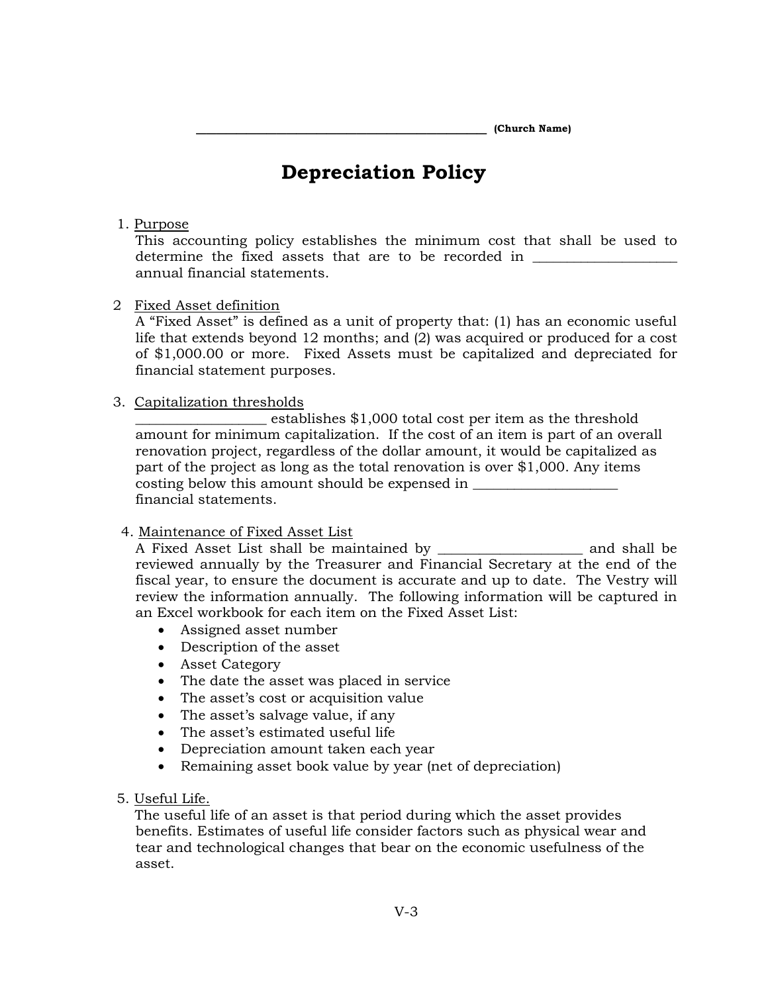**\_\_\_\_\_\_\_\_\_\_\_\_\_\_\_\_\_\_\_\_\_\_\_\_\_\_\_\_\_ (Church Name)**

# **Depreciation Policy**

## 1. Purpose

This accounting policy establishes the minimum cost that shall be used to determine the fixed assets that are to be recorded in annual financial statements.

#### 2 Fixed Asset definition

A "Fixed Asset" is defined as a unit of property that: (1) has an economic useful life that extends beyond 12 months; and (2) was acquired or produced for a cost of \$1,000.00 or more. Fixed Assets must be capitalized and depreciated for financial statement purposes.

## 3. Capitalization thresholds

\_\_\_\_\_\_\_\_\_\_\_\_\_\_\_\_\_\_\_ establishes \$1,000 total cost per item as the threshold amount for minimum capitalization. If the cost of an item is part of an overall renovation project, regardless of the dollar amount, it would be capitalized as part of the project as long as the total renovation is over \$1,000. Any items costing below this amount should be expensed in financial statements.

#### 4. Maintenance of Fixed Asset List

A Fixed Asset List shall be maintained by \_\_\_\_\_\_\_\_\_\_\_\_\_\_\_\_\_\_\_\_\_ and shall be reviewed annually by the Treasurer and Financial Secretary at the end of the fiscal year, to ensure the document is accurate and up to date. The Vestry will review the information annually. The following information will be captured in an Excel workbook for each item on the Fixed Asset List:

- Assigned asset number
- Description of the asset
- Asset Category
- The date the asset was placed in service
- The asset's cost or acquisition value
- The asset's salvage value, if any
- The asset's estimated useful life
- Depreciation amount taken each year
- Remaining asset book value by year (net of depreciation)
- 5. Useful Life.

 The useful life of an asset is that period during which the asset provides benefits. Estimates of useful life consider factors such as physical wear and tear and technological changes that bear on the economic usefulness of the asset.